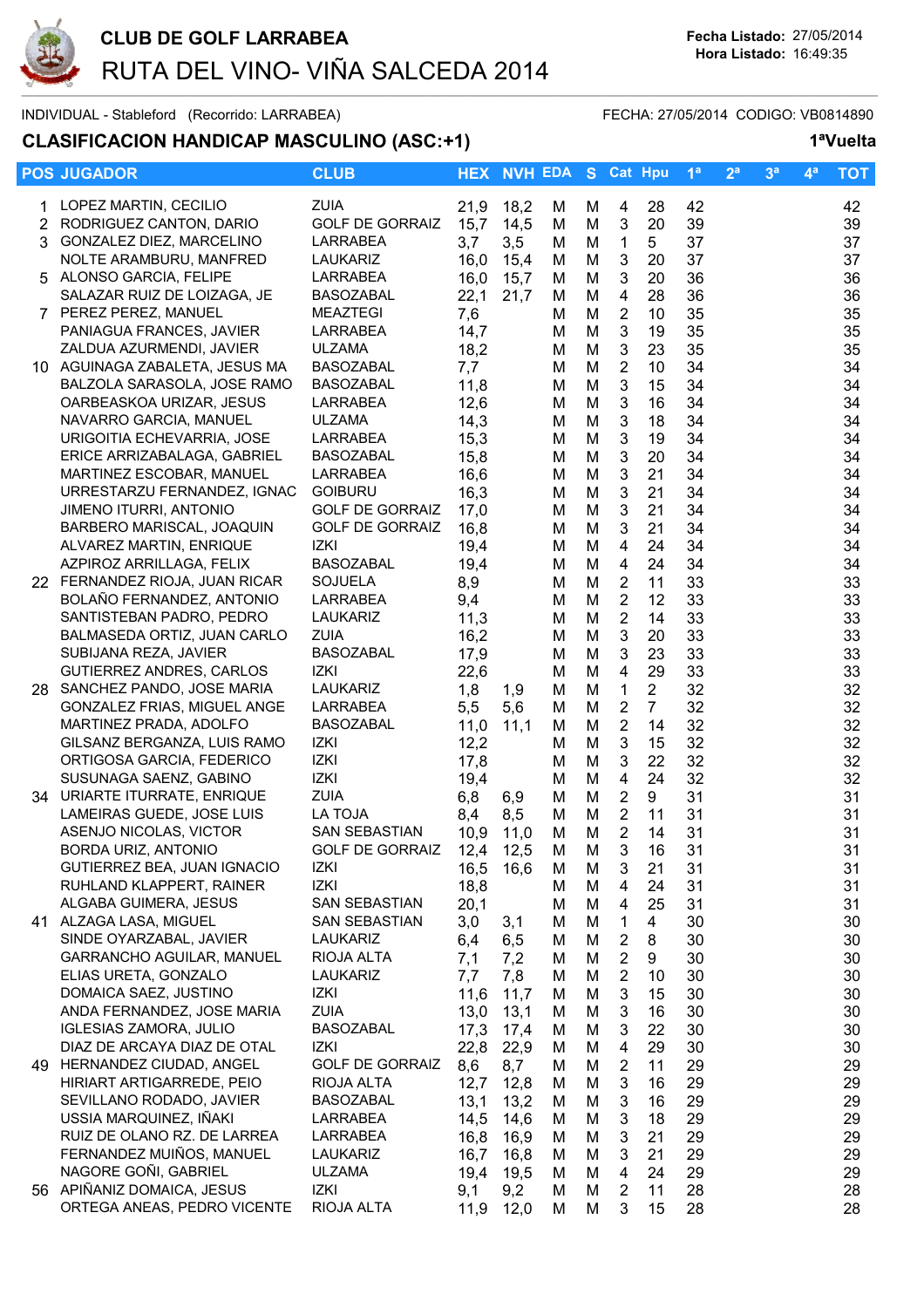

### INDIVIDUAL - Stableford (Recorrido: LARRABEA) FECHA: 27/05/2014 CODIGO: VB0814890

## **CLASIFICACION HANDICAP MASCULINO (ASC:+1) 1ªVuelta**

|  | <b>POS JUGADOR</b>                                       | <b>CLUB</b>                |              | <b>HEX NVH EDA S Cat Hpu</b> |        |        |                                           |                | 1 <sup>a</sup> | 2 <sup>a</sup> | 3 <sup>a</sup> | 4 <sup>a</sup> | <b>TOT</b> |
|--|----------------------------------------------------------|----------------------------|--------------|------------------------------|--------|--------|-------------------------------------------|----------------|----------------|----------------|----------------|----------------|------------|
|  | 1 LOPEZ MARTIN, CECILIO                                  | <b>ZUIA</b>                | 21,9         | 18,2                         | M      | M      | 4                                         | 28             | 42             |                |                |                | 42         |
|  | 2 RODRIGUEZ CANTON, DARIO                                | <b>GOLF DE GORRAIZ</b>     | 15,7         | 14,5                         | M      | M      | 3                                         | 20             | 39             |                |                |                | 39         |
|  | 3 GONZALEZ DIEZ, MARCELINO                               | LARRABEA                   | 3,7          | 3,5                          | M      | M      | 1                                         | 5              | 37             |                |                |                | 37         |
|  | NOLTE ARAMBURU, MANFRED                                  | LAUKARIZ                   | 16,0         | 15,4                         | M      | M      | 3                                         | 20             | 37             |                |                |                | 37         |
|  | 5 ALONSO GARCIA, FELIPE                                  | LARRABEA                   | 16,0         | 15,7                         | M      | M      | 3                                         | 20             | 36             |                |                |                | 36         |
|  | SALAZAR RUIZ DE LOIZAGA, JE<br>7 PEREZ PEREZ, MANUEL     | BASOZABAL<br>MEAZTEGI      | 22,1<br>7,6  | 21,7                         | M<br>м | M<br>M | 4<br>$\overline{2}$                       | 28<br>10       | 36<br>35       |                |                |                | 36<br>35   |
|  | PANIAGUA FRANCES, JAVIER                                 | LARRABEA                   | 14,7         |                              | М      | M      | 3                                         | 19             | 35             |                |                |                | 35         |
|  | ZALDUA AZURMENDI, JAVIER                                 | <b>ULZAMA</b>              | 18,2         |                              | М      | M      | 3                                         | 23             | 35             |                |                |                | 35         |
|  | 10 AGUINAGA ZABALETA, JESUS MA                           | <b>BASOZABAL</b>           | 7,7          |                              | M      | M      | $\overline{2}$                            | 10             | 34             |                |                |                | 34         |
|  | BALZOLA SARASOLA, JOSE RAMO                              | BASOZABAL                  | 11,8         |                              | M      | M      | $\mathbf{3}$                              | 15             | 34             |                |                |                | 34         |
|  | OARBEASKOA URIZAR, JESUS                                 | LARRABEA                   | 12,6         |                              | M      | M      | 3                                         | 16             | 34             |                |                |                | 34         |
|  | NAVARRO GARCIA, MANUEL                                   | <b>ULZAMA</b>              | 14,3         |                              | M      | M      | $\ensuremath{\mathsf{3}}$                 | 18             | 34             |                |                |                | 34         |
|  | URIGOITIA ECHEVARRIA, JOSE                               | LARRABEA                   | 15,3         |                              | M      | M      | $\ensuremath{\mathsf{3}}$                 | 19             | 34             |                |                |                | 34         |
|  | ERICE ARRIZABALAGA, GABRIEL                              | BASOZABAL                  | 15,8         |                              | М      | M      | 3                                         | 20             | 34             |                |                |                | 34         |
|  | MARTINEZ ESCOBAR, MANUEL<br>URRESTARZU FERNANDEZ, IGNAC  | LARRABEA<br><b>GOIBURU</b> | 16,6         |                              | М      | M      | 3                                         | 21             | 34             |                |                |                | 34         |
|  | JIMENO ITURRI, ANTONIO                                   | <b>GOLF DE GORRAIZ</b>     | 16,3<br>17,0 |                              | M<br>M | M<br>M | 3<br>3                                    | 21<br>21       | 34<br>34       |                |                |                | 34<br>34   |
|  | BARBERO MARISCAL, JOAQUIN                                | <b>GOLF DE GORRAIZ</b>     | 16,8         |                              | M      | M      | 3                                         | 21             | 34             |                |                |                | 34         |
|  | ALVAREZ MARTIN, ENRIQUE                                  | IZKI                       | 19,4         |                              | M      | M      | 4                                         | 24             | 34             |                |                |                | 34         |
|  | AZPIROZ ARRILLAGA, FELIX                                 | BASOZABAL                  | 19,4         |                              | М      | M      | 4                                         | 24             | 34             |                |                |                | 34         |
|  | 22 FERNANDEZ RIOJA, JUAN RICAR                           | <b>SOJUELA</b>             | 8,9          |                              | м      | M      | $\overline{2}$                            | 11             | 33             |                |                |                | 33         |
|  | BOLAÑO FERNANDEZ, ANTONIO                                | LARRABEA                   | 9,4          |                              | M      | M      | $\overline{2}$                            | 12             | 33             |                |                |                | 33         |
|  | SANTISTEBAN PADRO, PEDRO                                 | LAUKARIZ                   | 11,3         |                              | M      | M      | $\overline{2}$                            | 14             | 33             |                |                |                | 33         |
|  | BALMASEDA ORTIZ, JUAN CARLO                              | <b>ZUIA</b>                | 16,2         |                              | M      | M      | $\mathbf{3}$                              | 20             | 33             |                |                |                | 33         |
|  | SUBIJANA REZA, JAVIER<br>GUTIERREZ ANDRES, CARLOS        | <b>BASOZABAL</b><br>IZKI   | 17,9         |                              | M      | M<br>M | $\mathbf{3}$<br>$\overline{4}$            | 23<br>29       | 33<br>33       |                |                |                | 33         |
|  | 28 SANCHEZ PANDO, JOSE MARIA                             | LAUKARIZ                   | 22,6<br>1,8  | 1,9                          | M<br>M | M      | 1                                         | $\overline{2}$ | 32             |                |                |                | 33<br>32   |
|  | GONZALEZ FRIAS, MIGUEL ANGE                              | LARRABEA                   | 5,5          | 5,6                          | M      | M      | $\overline{2}$                            | $\overline{7}$ | 32             |                |                |                | 32         |
|  | MARTINEZ PRADA, ADOLFO                                   | BASOZABAL                  | 11,0         | 11,1                         | М      | M      | $\overline{2}$                            | 14             | 32             |                |                |                | 32         |
|  | GILSANZ BERGANZA, LUIS RAMO                              | IZKI                       | 12,2         |                              | м      | M      | 3                                         | 15             | 32             |                |                |                | 32         |
|  | ORTIGOSA GARCIA, FEDERICO                                | IZKI                       | 17,8         |                              | М      | M      | 3                                         | 22             | 32             |                |                |                | 32         |
|  | SUSUNAGA SAENZ, GABINO                                   | IZKI                       | 19,4         |                              | М      | M      | 4                                         | 24             | 32             |                |                |                | 32         |
|  | 34 URIARTE ITURRATE, ENRIQUE                             | <b>ZUIA</b>                | 6,8          | 6,9                          | M      | M      | $\overline{2}$                            | 9              | 31             |                |                |                | 31         |
|  | LAMEIRAS GUEDE, JOSE LUIS<br>ASENJO NICOLAS, VICTOR      | LA TOJA<br>SAN SEBASTIAN   | 8,4<br>10,9  | 8,5<br>11,0                  | М<br>M | M<br>M | $\overline{2}$<br>$\overline{2}$          | 11<br>14       | 31<br>31       |                |                |                | 31<br>31   |
|  | BORDA URIZ, ANTONIO                                      | <b>GOLF DE GORRAIZ</b>     | 12,4 12,5    |                              | M      | M      | 3                                         | 16             | 31             |                |                |                | 31         |
|  | GUTIERREZ BEA, JUAN IGNACIO                              | IZKI                       | 16,5         | 16,6                         | M      | M      | 3                                         | 21             | 31             |                |                |                | 31         |
|  | RUHLAND KLAPPERT, RAINER                                 | IZKI                       | 18,8         |                              | M      | M      | 4                                         | 24             | 31             |                |                |                | 31         |
|  | ALGABA GUIMERA, JESUS                                    | SAN SEBASTIAN              | 20,1         |                              | M      | M      | 4                                         | 25             | 31             |                |                |                | 31         |
|  | 41 ALZAGA LASA, MIGUEL                                   | <b>SAN SEBASTIAN</b>       | 3,0          | 3,1                          | M      | M      | 1                                         | 4              | 30             |                |                |                | 30         |
|  | SINDE OYARZABAL, JAVIER                                  | LAUKARIZ                   | 6,4          | 6,5                          | M      | M      | 2                                         | 8              | 30             |                |                |                | 30         |
|  | <b>GARRANCHO AGUILAR, MANUEL</b><br>ELIAS URETA, GONZALO | RIOJA ALTA<br>LAUKARIZ     | 7,1<br>7,7   | 7,2<br>7,8                   | M<br>M | M<br>M | $\overline{\mathbf{c}}$<br>$\overline{2}$ | 9<br>10        | 30<br>30       |                |                |                | 30<br>30   |
|  | DOMAICA SAEZ, JUSTINO                                    | IZKI                       | 11,6         | 11,7                         | M      | M      | 3                                         | 15             | 30             |                |                |                | 30         |
|  | ANDA FERNANDEZ, JOSE MARIA                               | <b>ZUIA</b>                | 13,0         | 13,1                         | M      | M      | 3                                         | 16             | 30             |                |                |                | 30         |
|  | <b>IGLESIAS ZAMORA, JULIO</b>                            | <b>BASOZABAL</b>           | 17,3         | 17,4                         | M      | M      | 3                                         | 22             | 30             |                |                |                | 30         |
|  | DIAZ DE ARCAYA DIAZ DE OTAL                              | IZKI                       | 22,8         | 22,9                         | M      | M      | 4                                         | 29             | 30             |                |                |                | 30         |
|  | 49 HERNANDEZ CIUDAD, ANGEL                               | <b>GOLF DE GORRAIZ</b>     | 8,6          | 8,7                          | M      | M      | $\overline{2}$                            | 11             | 29             |                |                |                | 29         |
|  | HIRIART ARTIGARREDE, PEIO                                | RIOJA ALTA                 | 12,7         | 12,8                         | м      | M      | 3                                         | 16             | 29             |                |                |                | 29         |
|  | SEVILLANO RODADO, JAVIER                                 | <b>BASOZABAL</b>           | 13,1         | 13,2                         | M      | M      | $\ensuremath{\mathsf{3}}$                 | 16             | 29             |                |                |                | 29         |
|  | USSIA MARQUINEZ, IÑAKI<br>RUIZ DE OLANO RZ. DE LARREA    | LARRABEA<br>LARRABEA       | 14,5         | 14,6                         | M      | M      | 3                                         | 18             | 29             |                |                |                | 29         |
|  | FERNANDEZ MUIÑOS, MANUEL                                 | LAUKARIZ                   | 16,8<br>16,7 | 16,9<br>16,8                 | M<br>M | M<br>M | 3<br>3                                    | 21<br>21       | 29<br>29       |                |                |                | 29<br>29   |
|  | NAGORE GOÑI, GABRIEL                                     | <b>ULZAMA</b>              | 19,4         | 19,5                         | M      | M      | 4                                         | 24             | 29             |                |                |                | 29         |
|  | 56 APIÑANIZ DOMAICA, JESUS                               | IZKI                       | 9,1          | 9,2                          | М      | M      | $\overline{2}$                            | 11             | 28             |                |                |                | 28         |
|  | ORTEGA ANEAS, PEDRO VICENTE                              | RIOJA ALTA                 | 11,9         | 12,0                         | М      | M      | 3                                         | 15             | 28             |                |                |                | 28         |